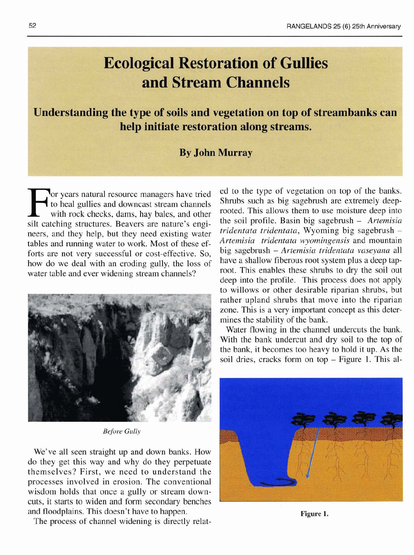## **Ecological Restoration of Gullies** and Stream Channels

Understanding the type of soils and vegetation on top of streambanks can help initiate restoration along streams.

## **By John Murray**

For years natural resource managers have tried ed to the type of vegetation on top of the banks.<br>
to heal gullies and downcast stream channels<br>
with rock checks, dams, hay bales, and other rooted. This allows them to use m silt catching structures. Beavers are nature's engi-<br>neare and they help but they need existing water *tridentata tridentata*, Wyoming big sagebrush – neers, and they help, but they need existing water *tridentata tridentata*, wyoming big sagebrush –<br>tables and running water to work. Most of these of *Artemisia tridentata wyomingensis* and mountain tables and running water to work. Most of these  $ef-$  *Artemisia tridentata wyomingensis* and mountain  $f$  or  $f$  or  $f$  or  $f$  or  $f$  or  $f$  or  $f$  or  $f$  or  $f$  or  $f$  or  $f$  or  $f$  or  $f$  or  $f$  or  $f$  or  $f$  or  $f$  or forts are not very successful or cost-effective. So, big sagebrush – Artemisia triaentata vaseyana all<br>how do we deal with an eroding willy the loss of have a shallow fiberous root system plus a deep taphow do we deal with an eroding gully, the loss of water table and ever widening stream channels? root. This enables these shrubs to dry the soil out



**<sup>I</sup>***Before Gully* 

We've all seen straight up and down banks. How do they get this way and why do they perpetuate themselves? First, we need to understand the processes involved in erosion. The conventional wisdom holds that once a gully or stream downcuts, it starts to widen and form secondary benches and floodplains. This doesn't have to happen.

The process of channel widening is directly relat-

to heal gullies and downcast stream channels<br>with rock changes and other stream channels such as big sagebrush are extremely deep-<br>rock changes and other rooted. This allows them to use moisture deep into with rock checks, dams, hay bales, and other rooted. This allows them to use moisture deep into<br>the soil profile. Basin big sagebrush – Artemisia deep into the profile. This process does not apply to willows or other desirable riparian shrubs, but rather upland shrubs that move into the riparian zone. This is a very important concept as this determines the stability of the bank.

> Water flowing in the channel undercuts the bank. With the bank undercut and dry soil to the top of the bank, it becomes too heavy to hold it up. As the soil dries, cracks form on top – Figure 1. This al-



**Figure 1.**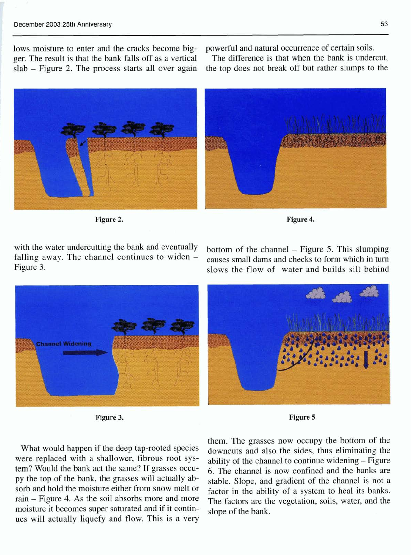lows moisture to enter and the cracks become big-<br>general and natural occurrence of certain soils.<br>generally set as a vertical and the difference is that when the bank is undercut, ger. The result is that the bank falls off as a vertical The difference is that when the bank is undercut, slab – Figure 2. The process starts all over again the top does not break off but rather slumps to the  $slab$  - Figure 2. The process starts all over again



Figure 2.

with the water undercutting the bank and eventually bottom of the channel  $-$  Figure 5. This slumping falling away. The channel continues to widen  $-$  causes small dams and checks to form which in turn falling away. The channel continues to widen  $-\overline{\phantom{a}}$  Figure 3.

slows the flow of water and builds silt behind



**Figure 3.** 

**Figure 5** 

What would happen if the deep tap-rooted species were replaced with a shallower, fibrous root system? Would the bank act the same? If grasses occupy the top of the bank, the grasses will actually absorb and hold the moisture either from snow melt or rain - Figure 4. As the soil absorbs more and more moisture it becomes super saturated and if it continues will actually liquefy and flow. This is a very

them. The grasses now occupy the bottom of the downcuts and also the sides, thus eliminating the ability of the channel to continue widening - Figure 6. The channel is now confined and the banks are stable. Slope, and gradient of the channel is not a factor in the ability of a system to heal its banks. The factors are the vegetation, soils, water, and the slope of the bank.